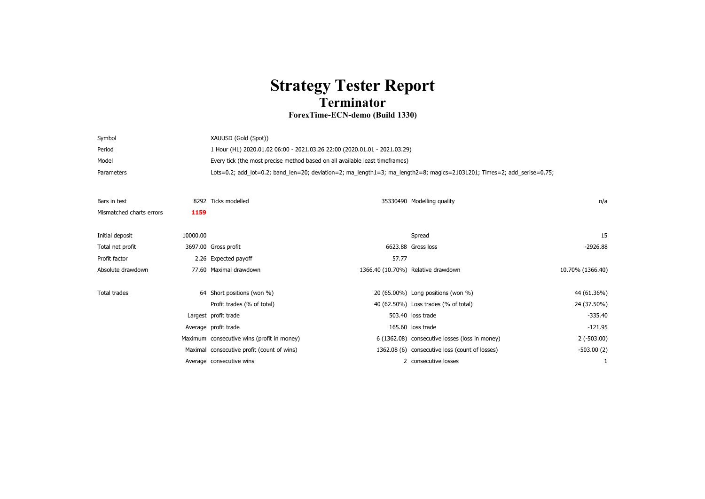## **Strategy Tester Report Terminator**

## **ForexTime-ECN-demo (Build 1330)**

| Symbol     | XAUUSD (Gold (Spot))                                                                                                    |
|------------|-------------------------------------------------------------------------------------------------------------------------|
| Period     | 1 Hour (H1) 2020.01.02 06:00 - 2021.03.26 22:00 (2020.01.01 - 2021.03.29)                                               |
| Model      | Every tick (the most precise method based on all available least timeframes)                                            |
| Parameters | Lots=0.2; add_lot=0.2; band_len=20; deviation=2; ma_length1=3; ma_length2=8; magics=21031201; Times=2; add_serise=0.75; |

| Bars in test             |          | 8292 Ticks modelled                        |       | 35330490 Modelling quality                     | n/a              |  |
|--------------------------|----------|--------------------------------------------|-------|------------------------------------------------|------------------|--|
| Mismatched charts errors | 1159     |                                            |       |                                                |                  |  |
|                          |          |                                            |       |                                                |                  |  |
| Initial deposit          | 10000.00 |                                            |       | Spread                                         | 15               |  |
| Total net profit         |          | 3697.00 Gross profit                       |       | 6623.88 Gross loss                             | -2926.88         |  |
| Profit factor            |          | 2.26 Expected payoff                       | 57.77 |                                                |                  |  |
| Absolute drawdown        |          | 77.60 Maximal drawdown                     |       | 1366.40 (10.70%) Relative drawdown             | 10.70% (1366.40) |  |
|                          |          |                                            |       |                                                |                  |  |
| Total trades             |          | 64 Short positions (won %)                 |       | 20 (65.00%) Long positions (won %)             | 44 (61.36%)      |  |
|                          |          | Profit trades (% of total)                 |       | 40 (62.50%) Loss trades (% of total)           | 24 (37.50%)      |  |
|                          |          | Largest profit trade                       |       | 503.40 loss trade                              | $-335.40$        |  |
|                          |          | Average profit trade                       |       | 165.60 loss trade                              | $-121.95$        |  |
|                          |          | Maximum consecutive wins (profit in money) |       | 6 (1362.08) consecutive losses (loss in money) | $2(-503.00)$     |  |
|                          |          | Maximal consecutive profit (count of wins) |       | 1362.08 (6) consecutive loss (count of losses) | $-503.00(2)$     |  |
|                          |          | Average consecutive wins                   |       | 2 consecutive losses                           |                  |  |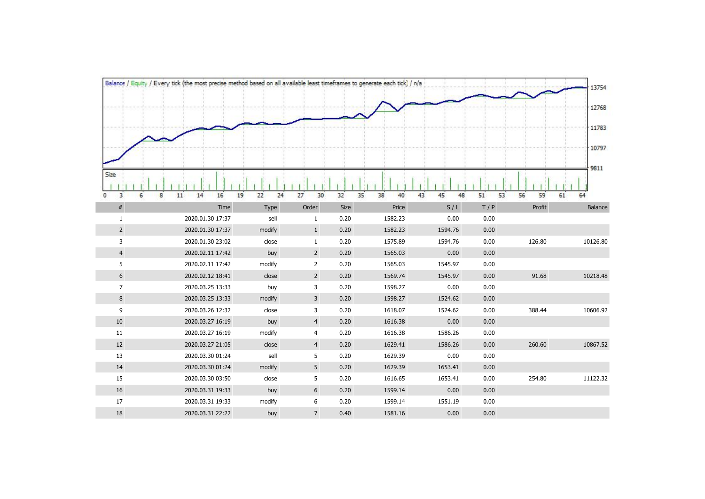|                 | Balance / Equity / Every tick (the most precise method based on all available least timeframes to generate each tick) / n/a |                 |                     |              |                    |                    |              |                | 13754    |
|-----------------|-----------------------------------------------------------------------------------------------------------------------------|-----------------|---------------------|--------------|--------------------|--------------------|--------------|----------------|----------|
|                 |                                                                                                                             |                 |                     |              |                    |                    |              |                | 12768    |
|                 |                                                                                                                             |                 |                     |              |                    |                    |              |                |          |
|                 |                                                                                                                             |                 |                     |              |                    |                    |              |                | 11783    |
|                 |                                                                                                                             |                 |                     |              |                    |                    |              |                |          |
|                 |                                                                                                                             |                 |                     |              |                    |                    |              |                | 10797    |
|                 |                                                                                                                             |                 |                     |              |                    |                    |              |                | 9811     |
| Size            |                                                                                                                             |                 |                     |              |                    |                    |              |                |          |
| 3<br>6          | 16<br>8<br>11<br>14                                                                                                         | 22<br>24<br>19  | 27<br>30            | 32           | 35<br>38<br>40     | 45<br>48<br>43     | 53<br>51     | 56<br>59<br>61 | 64       |
| #               | Time                                                                                                                        | Type            | Order               | Size         | Price              | S/L                | T/P          | Profit         | Balance  |
| $\mathbf{1}$    | 2020.01.30 17:37                                                                                                            | sell            | $\mathbf{1}$        | 0.20         | 1582.23            | 0.00               | 0.00         |                |          |
| $2\overline{ }$ | 2020.01.30 17:37                                                                                                            | modify          | $\mathbf{1}$        | 0.20         | 1582.23            | 1594.76            | 0.00         |                |          |
| 3               | 2020.01.30 23:02                                                                                                            | close           | $\mathbf{1}$        | 0.20         | 1575.89            | 1594.76            | 0.00         | 126.80         | 10126.80 |
| $\overline{4}$  | 2020.02.11 17:42                                                                                                            | buy             | $2^{\circ}$         | 0.20         | 1565.03            | 0.00               | 0.00         |                |          |
| 5               | 2020.02.11 17:42                                                                                                            | modify          | $\overline{2}$      | 0.20         | 1565.03            | 1545.97            | 0.00         |                |          |
| 6               | 2020.02.12 18:41                                                                                                            | close           | $2^{\circ}$         | 0.20         | 1569.74            | 1545.97            | 0.00         | 91.68          | 10218.48 |
| 7 <sup>7</sup>  | 2020.03.25 13:33                                                                                                            | buy             | 3                   | 0.20         | 1598.27            | 0.00               | 0.00         |                |          |
| 8<br>9          | 2020.03.25 13:33<br>2020.03.26 12:32                                                                                        | modify<br>close | $\overline{3}$<br>3 | 0.20<br>0.20 | 1598.27<br>1618.07 | 1524.62<br>1524.62 | 0.00<br>0.00 | 388.44         | 10606.92 |
| 10              | 2020.03.27 16:19                                                                                                            | buy             | $\overline{4}$      | 0.20         | 1616.38            | 0.00               | 0.00         |                |          |
| 11              | 2020.03.27 16:19                                                                                                            | modify          | $\overline{4}$      | 0.20         | 1616.38            | 1586.26            | 0.00         |                |          |
| 12              | 2020.03.27 21:05                                                                                                            | close           | $\overline{4}$      | 0.20         | 1629.41            | 1586.26            | 0.00         | 260.60         | 10867.52 |
| 13              | 2020.03.30 01:24                                                                                                            | sell            | 5                   | 0.20         | 1629.39            | 0.00               | 0.00         |                |          |
| 14              | 2020.03.30 01:24                                                                                                            | modify          | 5                   | 0.20         | 1629.39            | 1653.41            | 0.00         |                |          |
| 15              | 2020.03.30 03:50                                                                                                            | close           | 5                   | 0.20         | 1616.65            | 1653.41            | 0.00         | 254.80         | 11122.32 |
| 16              | 2020.03.31 19:33                                                                                                            | buy             | $6\phantom{1}$      | 0.20         | 1599.14            | 0.00               | 0.00         |                |          |
|                 |                                                                                                                             | modify          | 6                   | 0.20         | 1599.14            | 1551.19            | 0.00         |                |          |
| 17              | 2020.03.31 19:33                                                                                                            |                 |                     |              |                    |                    |              |                |          |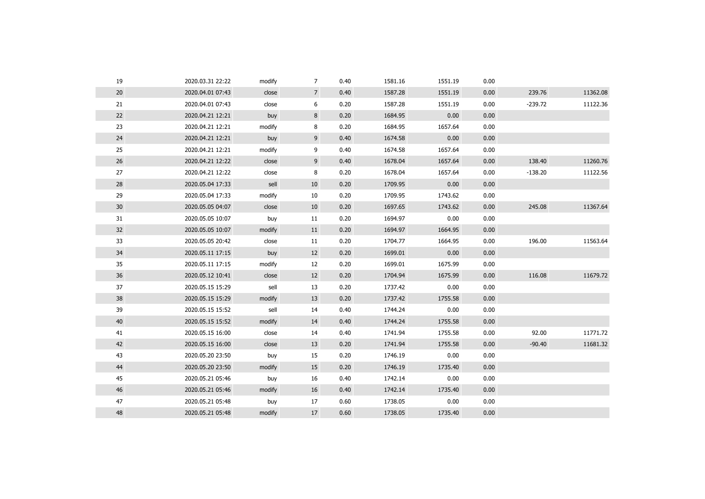| 19              | 2020.03.31 22:22 | modify | 7              | 0.40 | 1581.16 | 1551.19 | 0.00 |           |          |
|-----------------|------------------|--------|----------------|------|---------|---------|------|-----------|----------|
| 20              | 2020.04.01 07:43 | close  | $\overline{7}$ | 0.40 | 1587.28 | 1551.19 | 0.00 | 239.76    | 11362.08 |
| 21              | 2020.04.01 07:43 | close  | 6              | 0.20 | 1587.28 | 1551.19 | 0.00 | $-239.72$ | 11122.36 |
| 22              | 2020.04.21 12:21 | buy    | 8              | 0.20 | 1684.95 | 0.00    | 0.00 |           |          |
| 23              | 2020.04.21 12:21 | modify | 8              | 0.20 | 1684.95 | 1657.64 | 0.00 |           |          |
| 24              | 2020.04.21 12:21 | buy    | 9              | 0.40 | 1674.58 | 0.00    | 0.00 |           |          |
| 25              | 2020.04.21 12:21 | modify | 9              | 0.40 | 1674.58 | 1657.64 | 0.00 |           |          |
| 26              | 2020.04.21 12:22 | close  | 9              | 0.40 | 1678.04 | 1657.64 | 0.00 | 138.40    | 11260.76 |
| 27              | 2020.04.21 12:22 | close  | 8              | 0.20 | 1678.04 | 1657.64 | 0.00 | $-138.20$ | 11122.56 |
| 28              | 2020.05.04 17:33 | sell   | 10             | 0.20 | 1709.95 | 0.00    | 0.00 |           |          |
| 29              | 2020.05.04 17:33 | modify | 10             | 0.20 | 1709.95 | 1743.62 | 0.00 |           |          |
| 30 <sup>°</sup> | 2020.05.05 04:07 | close  | 10             | 0.20 | 1697.65 | 1743.62 | 0.00 | 245.08    | 11367.64 |
| 31              | 2020.05.05 10:07 | buy    | 11             | 0.20 | 1694.97 | 0.00    | 0.00 |           |          |
| 32              | 2020.05.05 10:07 | modify | 11             | 0.20 | 1694.97 | 1664.95 | 0.00 |           |          |
| 33              | 2020.05.05 20:42 | close  | 11             | 0.20 | 1704.77 | 1664.95 | 0.00 | 196.00    | 11563.64 |
| 34              | 2020.05.11 17:15 | buy    | 12             | 0.20 | 1699.01 | 0.00    | 0.00 |           |          |
| 35              | 2020.05.11 17:15 | modify | 12             | 0.20 | 1699.01 | 1675.99 | 0.00 |           |          |
| 36              | 2020.05.12 10:41 | close  | 12             | 0.20 | 1704.94 | 1675.99 | 0.00 | 116.08    | 11679.72 |
| 37              | 2020.05.15 15:29 | sell   | 13             | 0.20 | 1737.42 | 0.00    | 0.00 |           |          |
| 38              | 2020.05.15 15:29 | modify | 13             | 0.20 | 1737.42 | 1755.58 | 0.00 |           |          |
| 39              | 2020.05.15 15:52 | sell   | 14             | 0.40 | 1744.24 | 0.00    | 0.00 |           |          |
| 40              | 2020.05.15 15:52 | modify | 14             | 0.40 | 1744.24 | 1755.58 | 0.00 |           |          |
| 41              | 2020.05.15 16:00 | close  | 14             | 0.40 | 1741.94 | 1755.58 | 0.00 | 92.00     | 11771.72 |
| 42              | 2020.05.15 16:00 | close  | 13             | 0.20 | 1741.94 | 1755.58 | 0.00 | $-90.40$  | 11681.32 |
| 43              | 2020.05.20 23:50 | buy    | 15             | 0.20 | 1746.19 | 0.00    | 0.00 |           |          |
| 44              | 2020.05.20 23:50 | modify | 15             | 0.20 | 1746.19 | 1735.40 | 0.00 |           |          |
| 45              | 2020.05.21 05:46 | buy    | 16             | 0.40 | 1742.14 | 0.00    | 0.00 |           |          |
| 46              | 2020.05.21 05:46 | modify | 16             | 0.40 | 1742.14 | 1735.40 | 0.00 |           |          |
| 47              | 2020.05.21 05:48 | buy    | 17             | 0.60 | 1738.05 | 0.00    | 0.00 |           |          |
| 48              | 2020.05.21 05:48 | modify | 17             | 0.60 | 1738.05 | 1735.40 | 0.00 |           |          |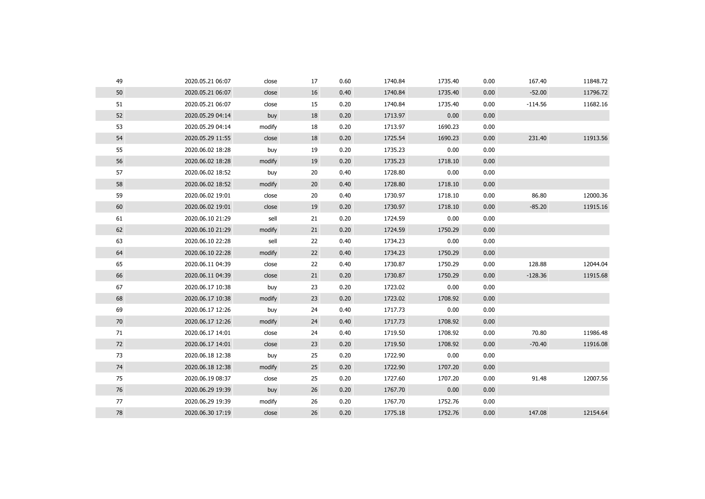| 49 | 2020.05.21 06:07 | close  | 17 | 0.60 | 1740.84 | 1735.40 | 0.00 | 167.40    | 11848.72 |
|----|------------------|--------|----|------|---------|---------|------|-----------|----------|
| 50 | 2020.05.21 06:07 | close  | 16 | 0.40 | 1740.84 | 1735.40 | 0.00 | $-52.00$  | 11796.72 |
| 51 | 2020.05.21 06:07 | close  | 15 | 0.20 | 1740.84 | 1735.40 | 0.00 | $-114.56$ | 11682.16 |
| 52 | 2020.05.29 04:14 | buy    | 18 | 0.20 | 1713.97 | 0.00    | 0.00 |           |          |
| 53 | 2020.05.29 04:14 | modify | 18 | 0.20 | 1713.97 | 1690.23 | 0.00 |           |          |
| 54 | 2020.05.29 11:55 | close  | 18 | 0.20 | 1725.54 | 1690.23 | 0.00 | 231.40    | 11913.56 |
| 55 | 2020.06.02 18:28 | buy    | 19 | 0.20 | 1735.23 | 0.00    | 0.00 |           |          |
| 56 | 2020.06.02 18:28 | modify | 19 | 0.20 | 1735.23 | 1718.10 | 0.00 |           |          |
| 57 | 2020.06.02 18:52 | buy    | 20 | 0.40 | 1728.80 | 0.00    | 0.00 |           |          |
| 58 | 2020.06.02 18:52 | modify | 20 | 0.40 | 1728.80 | 1718.10 | 0.00 |           |          |
| 59 | 2020.06.02 19:01 | close  | 20 | 0.40 | 1730.97 | 1718.10 | 0.00 | 86.80     | 12000.36 |
| 60 | 2020.06.02 19:01 | close  | 19 | 0.20 | 1730.97 | 1718.10 | 0.00 | $-85.20$  | 11915.16 |
| 61 | 2020.06.10 21:29 | sell   | 21 | 0.20 | 1724.59 | 0.00    | 0.00 |           |          |
| 62 | 2020.06.10 21:29 | modify | 21 | 0.20 | 1724.59 | 1750.29 | 0.00 |           |          |
| 63 | 2020.06.10 22:28 | sell   | 22 | 0.40 | 1734.23 | 0.00    | 0.00 |           |          |
| 64 | 2020.06.10 22:28 | modify | 22 | 0.40 | 1734.23 | 1750.29 | 0.00 |           |          |
| 65 | 2020.06.11 04:39 | close  | 22 | 0.40 | 1730.87 | 1750.29 | 0.00 | 128.88    | 12044.04 |
| 66 | 2020.06.11 04:39 | close  | 21 | 0.20 | 1730.87 | 1750.29 | 0.00 | $-128.36$ | 11915.68 |
| 67 | 2020.06.17 10:38 | buy    | 23 | 0.20 | 1723.02 | 0.00    | 0.00 |           |          |
| 68 | 2020.06.17 10:38 | modify | 23 | 0.20 | 1723.02 | 1708.92 | 0.00 |           |          |
| 69 | 2020.06.17 12:26 | buy    | 24 | 0.40 | 1717.73 | 0.00    | 0.00 |           |          |
| 70 | 2020.06.17 12:26 | modify | 24 | 0.40 | 1717.73 | 1708.92 | 0.00 |           |          |
| 71 | 2020.06.17 14:01 | close  | 24 | 0.40 | 1719.50 | 1708.92 | 0.00 | 70.80     | 11986.48 |
| 72 | 2020.06.17 14:01 | close  | 23 | 0.20 | 1719.50 | 1708.92 | 0.00 | $-70.40$  | 11916.08 |
| 73 | 2020.06.18 12:38 | buy    | 25 | 0.20 | 1722.90 | 0.00    | 0.00 |           |          |
| 74 | 2020.06.18 12:38 | modify | 25 | 0.20 | 1722.90 | 1707.20 | 0.00 |           |          |
| 75 | 2020.06.19 08:37 | close  | 25 | 0.20 | 1727.60 | 1707.20 | 0.00 | 91.48     | 12007.56 |
| 76 | 2020.06.29 19:39 | buy    | 26 | 0.20 | 1767.70 | 0.00    | 0.00 |           |          |
| 77 | 2020.06.29 19:39 | modify | 26 | 0.20 | 1767.70 | 1752.76 | 0.00 |           |          |
| 78 | 2020.06.30 17:19 | close  | 26 | 0.20 | 1775.18 | 1752.76 | 0.00 | 147.08    | 12154.64 |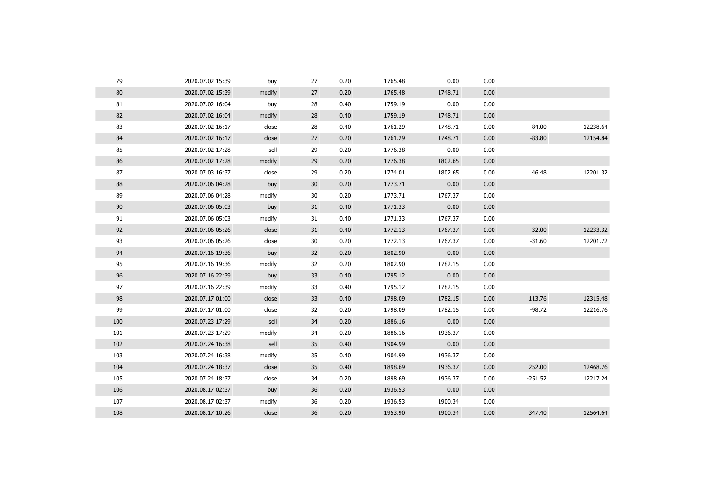| 79  | 2020.07.02 15:39 | buy    | 27 | 0.20 | 1765.48 | 0.00    | 0.00 |           |          |
|-----|------------------|--------|----|------|---------|---------|------|-----------|----------|
| 80  | 2020.07.02 15:39 | modify | 27 | 0.20 | 1765.48 | 1748.71 | 0.00 |           |          |
| 81  | 2020.07.02 16:04 | buy    | 28 | 0.40 | 1759.19 | 0.00    | 0.00 |           |          |
| 82  | 2020.07.02 16:04 | modify | 28 | 0.40 | 1759.19 | 1748.71 | 0.00 |           |          |
| 83  | 2020.07.02 16:17 | close  | 28 | 0.40 | 1761.29 | 1748.71 | 0.00 | 84.00     | 12238.64 |
| 84  | 2020.07.02 16:17 | close  | 27 | 0.20 | 1761.29 | 1748.71 | 0.00 | $-83.80$  | 12154.84 |
| 85  | 2020.07.02 17:28 | sell   | 29 | 0.20 | 1776.38 | 0.00    | 0.00 |           |          |
| 86  | 2020.07.02 17:28 | modify | 29 | 0.20 | 1776.38 | 1802.65 | 0.00 |           |          |
| 87  | 2020.07.03 16:37 | close  | 29 | 0.20 | 1774.01 | 1802.65 | 0.00 | 46.48     | 12201.32 |
| 88  | 2020.07.06 04:28 | buy    | 30 | 0.20 | 1773.71 | 0.00    | 0.00 |           |          |
| 89  | 2020.07.06 04:28 | modify | 30 | 0.20 | 1773.71 | 1767.37 | 0.00 |           |          |
| 90  | 2020.07.06 05:03 | buy    | 31 | 0.40 | 1771.33 | 0.00    | 0.00 |           |          |
| 91  | 2020.07.06 05:03 | modify | 31 | 0.40 | 1771.33 | 1767.37 | 0.00 |           |          |
| 92  | 2020.07.06 05:26 | close  | 31 | 0.40 | 1772.13 | 1767.37 | 0.00 | 32.00     | 12233.32 |
| 93  | 2020.07.06 05:26 | close  | 30 | 0.20 | 1772.13 | 1767.37 | 0.00 | $-31.60$  | 12201.72 |
| 94  | 2020.07.16 19:36 | buy    | 32 | 0.20 | 1802.90 | 0.00    | 0.00 |           |          |
| 95  | 2020.07.16 19:36 | modify | 32 | 0.20 | 1802.90 | 1782.15 | 0.00 |           |          |
| 96  | 2020.07.16 22:39 | buy    | 33 | 0.40 | 1795.12 | 0.00    | 0.00 |           |          |
| 97  | 2020.07.16 22:39 | modify | 33 | 0.40 | 1795.12 | 1782.15 | 0.00 |           |          |
| 98  | 2020.07.17 01:00 | close  | 33 | 0.40 | 1798.09 | 1782.15 | 0.00 | 113.76    | 12315.48 |
| 99  | 2020.07.17 01:00 | close  | 32 | 0.20 | 1798.09 | 1782.15 | 0.00 | $-98.72$  | 12216.76 |
| 100 | 2020.07.23 17:29 | sell   | 34 | 0.20 | 1886.16 | 0.00    | 0.00 |           |          |
| 101 | 2020.07.23 17:29 | modify | 34 | 0.20 | 1886.16 | 1936.37 | 0.00 |           |          |
| 102 | 2020.07.24 16:38 | sell   | 35 | 0.40 | 1904.99 | 0.00    | 0.00 |           |          |
| 103 | 2020.07.24 16:38 | modify | 35 | 0.40 | 1904.99 | 1936.37 | 0.00 |           |          |
| 104 | 2020.07.24 18:37 | close  | 35 | 0.40 | 1898.69 | 1936.37 | 0.00 | 252.00    | 12468.76 |
| 105 | 2020.07.24 18:37 | close  | 34 | 0.20 | 1898.69 | 1936.37 | 0.00 | $-251.52$ | 12217.24 |
| 106 | 2020.08.17 02:37 | buy    | 36 | 0.20 | 1936.53 | 0.00    | 0.00 |           |          |
| 107 | 2020.08.17 02:37 | modify | 36 | 0.20 | 1936.53 | 1900.34 | 0.00 |           |          |
| 108 | 2020.08.17 10:26 | close  | 36 | 0.20 | 1953.90 | 1900.34 | 0.00 | 347.40    | 12564.64 |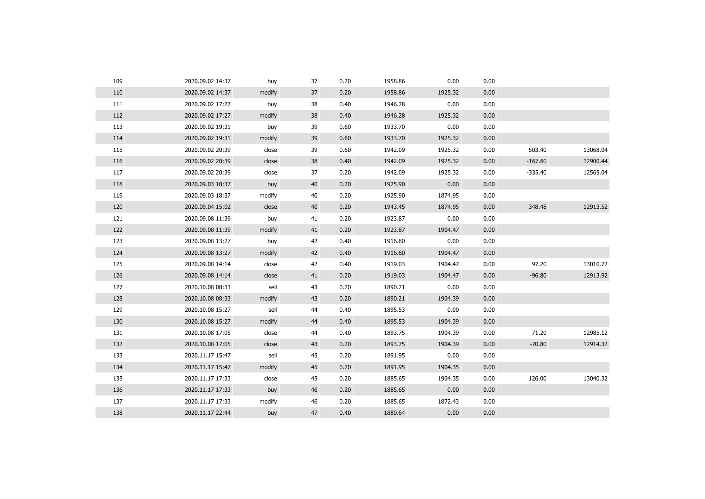| 109 | 2020.09.02 14:37 | buy    | 37 | 0.20 | 1958.86 | 0.00    | 0.00 |           |          |
|-----|------------------|--------|----|------|---------|---------|------|-----------|----------|
| 110 | 2020.09.02 14:37 | modify | 37 | 0.20 | 1958.86 | 1925.32 | 0.00 |           |          |
| 111 | 2020.09.02 17:27 | buy    | 38 | 0.40 | 1946.28 | 0.00    | 0.00 |           |          |
| 112 | 2020.09.02 17:27 | modify | 38 | 0.40 | 1946.28 | 1925.32 | 0.00 |           |          |
| 113 | 2020.09.02 19:31 | buy    | 39 | 0.60 | 1933.70 | 0.00    | 0.00 |           |          |
| 114 | 2020.09.02 19:31 | modify | 39 | 0.60 | 1933.70 | 1925.32 | 0.00 |           |          |
| 115 | 2020.09.02 20:39 | close  | 39 | 0.60 | 1942.09 | 1925.32 | 0.00 | 503.40    | 13068.04 |
| 116 | 2020.09.02 20:39 | close  | 38 | 0.40 | 1942.09 | 1925.32 | 0.00 | $-167.60$ | 12900.44 |
| 117 | 2020.09.02 20:39 | close  | 37 | 0.20 | 1942.09 | 1925.32 | 0.00 | $-335.40$ | 12565.04 |
| 118 | 2020.09.03 18:37 | buy    | 40 | 0.20 | 1925.90 | 0.00    | 0.00 |           |          |
| 119 | 2020.09.03 18:37 | modify | 40 | 0.20 | 1925.90 | 1874.95 | 0.00 |           |          |
| 120 | 2020.09.04 15:02 | close  | 40 | 0.20 | 1943.45 | 1874.95 | 0.00 | 348.48    | 12913.52 |
| 121 | 2020.09.08 11:39 | buy    | 41 | 0.20 | 1923.87 | 0.00    | 0.00 |           |          |
| 122 | 2020.09.08 11:39 | modify | 41 | 0.20 | 1923.87 | 1904.47 | 0.00 |           |          |
| 123 | 2020.09.08 13:27 | buy    | 42 | 0.40 | 1916.60 | 0.00    | 0.00 |           |          |
| 124 | 2020.09.08 13:27 | modify | 42 | 0.40 | 1916.60 | 1904.47 | 0.00 |           |          |
| 125 | 2020.09.08 14:14 | close  | 42 | 0.40 | 1919.03 | 1904.47 | 0.00 | 97.20     | 13010.72 |
| 126 | 2020.09.08 14:14 | close  | 41 | 0.20 | 1919.03 | 1904.47 | 0.00 | $-96.80$  | 12913.92 |
| 127 | 2020.10.08 08:33 | sell   | 43 | 0.20 | 1890.21 | 0.00    | 0.00 |           |          |
| 128 | 2020.10.08 08:33 | modify | 43 | 0.20 | 1890.21 | 1904.39 | 0.00 |           |          |
| 129 | 2020.10.08 15:27 | sell   | 44 | 0.40 | 1895.53 | 0.00    | 0.00 |           |          |
| 130 | 2020.10.08 15:27 | modify | 44 | 0.40 | 1895.53 | 1904.39 | 0.00 |           |          |
| 131 | 2020.10.08 17:05 | close  | 44 | 0.40 | 1893.75 | 1904.39 | 0.00 | 71.20     | 12985.12 |
| 132 | 2020.10.08 17:05 | close  | 43 | 0.20 | 1893.75 | 1904.39 | 0.00 | $-70.80$  | 12914.32 |
| 133 | 2020.11.17 15:47 | sell   | 45 | 0.20 | 1891.95 | 0.00    | 0.00 |           |          |
| 134 | 2020.11.17 15:47 | modify | 45 | 0.20 | 1891.95 | 1904.35 | 0.00 |           |          |
| 135 | 2020.11.17 17:33 | close  | 45 | 0.20 | 1885.65 | 1904.35 | 0.00 | 126.00    | 13040.32 |
| 136 | 2020.11.17 17:33 | buy    | 46 | 0.20 | 1885.65 | 0.00    | 0.00 |           |          |
| 137 | 2020.11.17 17:33 | modify | 46 | 0.20 | 1885.65 | 1872.43 | 0.00 |           |          |
| 138 | 2020.11.17 22:44 | buy    | 47 | 0.40 | 1880.64 | 0.00    | 0.00 |           |          |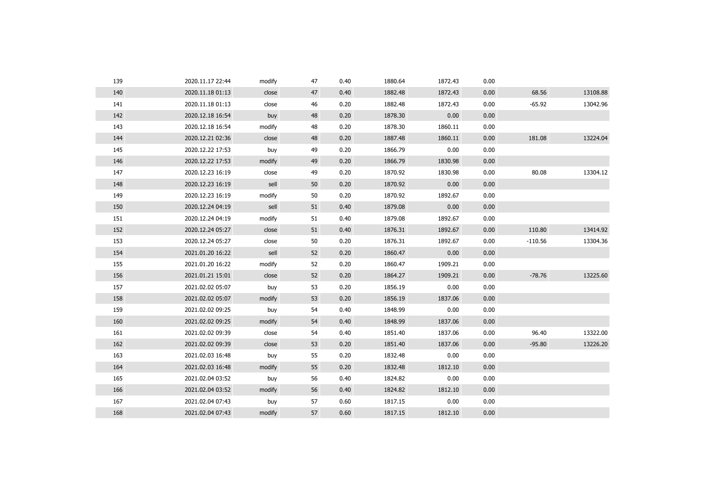| 139 | 2020.11.17 22:44 | modify | 47 | 0.40 | 1880.64 | 1872.43 | 0.00 |           |          |
|-----|------------------|--------|----|------|---------|---------|------|-----------|----------|
| 140 | 2020.11.18 01:13 | close  | 47 | 0.40 | 1882.48 | 1872.43 | 0.00 | 68.56     | 13108.88 |
| 141 | 2020.11.18 01:13 | close  | 46 | 0.20 | 1882.48 | 1872.43 | 0.00 | $-65.92$  | 13042.96 |
| 142 | 2020.12.18 16:54 | buy    | 48 | 0.20 | 1878.30 | 0.00    | 0.00 |           |          |
| 143 | 2020.12.18 16:54 | modify | 48 | 0.20 | 1878.30 | 1860.11 | 0.00 |           |          |
| 144 | 2020.12.21 02:36 | close  | 48 | 0.20 | 1887.48 | 1860.11 | 0.00 | 181.08    | 13224.04 |
| 145 | 2020.12.22 17:53 | buy    | 49 | 0.20 | 1866.79 | 0.00    | 0.00 |           |          |
| 146 | 2020.12.22 17:53 | modify | 49 | 0.20 | 1866.79 | 1830.98 | 0.00 |           |          |
| 147 | 2020.12.23 16:19 | close  | 49 | 0.20 | 1870.92 | 1830.98 | 0.00 | 80.08     | 13304.12 |
| 148 | 2020.12.23 16:19 | sell   | 50 | 0.20 | 1870.92 | 0.00    | 0.00 |           |          |
| 149 | 2020.12.23 16:19 | modify | 50 | 0.20 | 1870.92 | 1892.67 | 0.00 |           |          |
| 150 | 2020.12.24 04:19 | sell   | 51 | 0.40 | 1879.08 | 0.00    | 0.00 |           |          |
| 151 | 2020.12.24 04:19 | modify | 51 | 0.40 | 1879.08 | 1892.67 | 0.00 |           |          |
| 152 | 2020.12.24 05:27 | close  | 51 | 0.40 | 1876.31 | 1892.67 | 0.00 | 110.80    | 13414.92 |
| 153 | 2020.12.24 05:27 | close  | 50 | 0.20 | 1876.31 | 1892.67 | 0.00 | $-110.56$ | 13304.36 |
| 154 | 2021.01.20 16:22 | sell   | 52 | 0.20 | 1860.47 | 0.00    | 0.00 |           |          |
| 155 | 2021.01.20 16:22 | modify | 52 | 0.20 | 1860.47 | 1909.21 | 0.00 |           |          |
| 156 | 2021.01.21 15:01 | close  | 52 | 0.20 | 1864.27 | 1909.21 | 0.00 | $-78.76$  | 13225.60 |
| 157 | 2021.02.02 05:07 | buy    | 53 | 0.20 | 1856.19 | 0.00    | 0.00 |           |          |
| 158 | 2021.02.02 05:07 | modify | 53 | 0.20 | 1856.19 | 1837.06 | 0.00 |           |          |
| 159 | 2021.02.02 09:25 | buy    | 54 | 0.40 | 1848.99 | 0.00    | 0.00 |           |          |
| 160 | 2021.02.02 09:25 | modify | 54 | 0.40 | 1848.99 | 1837.06 | 0.00 |           |          |
| 161 | 2021.02.02 09:39 | close  | 54 | 0.40 | 1851.40 | 1837.06 | 0.00 | 96.40     | 13322.00 |
| 162 | 2021.02.02 09:39 | close  | 53 | 0.20 | 1851.40 | 1837.06 | 0.00 | $-95.80$  | 13226.20 |
| 163 | 2021.02.03 16:48 | buy    | 55 | 0.20 | 1832.48 | 0.00    | 0.00 |           |          |
| 164 | 2021.02.03 16:48 | modify | 55 | 0.20 | 1832.48 | 1812.10 | 0.00 |           |          |
| 165 | 2021.02.04 03:52 | buy    | 56 | 0.40 | 1824.82 | 0.00    | 0.00 |           |          |
| 166 | 2021.02.04 03:52 | modify | 56 | 0.40 | 1824.82 | 1812.10 | 0.00 |           |          |
| 167 | 2021.02.04 07:43 | buy    | 57 | 0.60 | 1817.15 | 0.00    | 0.00 |           |          |
| 168 | 2021.02.04 07:43 | modify | 57 | 0.60 | 1817.15 | 1812.10 | 0.00 |           |          |